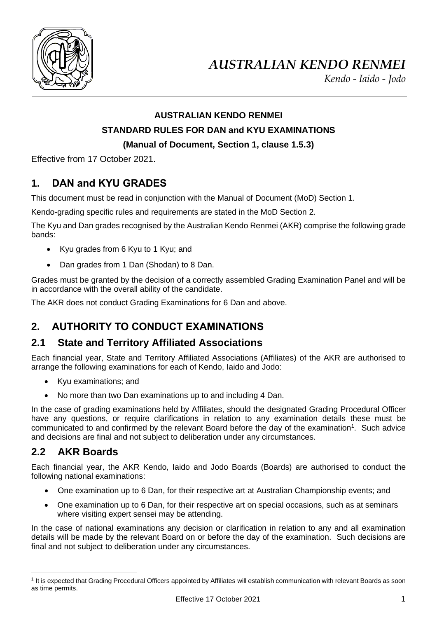

*Kendo - Iaido - Jodo*

# **AUSTRALIAN KENDO RENMEI STANDARD RULES FOR DAN and KYU EXAMINATIONS (Manual of Document, Section 1, clause 1.5.3)**

Effective from 17 October 2021.

# **1. DAN and KYU GRADES**

This document must be read in conjunction with the Manual of Document (MoD) Section 1.

Kendo-grading specific rules and requirements are stated in the MoD Section 2.

The Kyu and Dan grades recognised by the Australian Kendo Renmei (AKR) comprise the following grade bands:

- Kyu grades from 6 Kyu to 1 Kyu; and
- Dan grades from 1 Dan (Shodan) to 8 Dan.

Grades must be granted by the decision of a correctly assembled Grading Examination Panel and will be in accordance with the overall ability of the candidate.

The AKR does not conduct Grading Examinations for 6 Dan and above.

# **2. AUTHORITY TO CONDUCT EXAMINATIONS**

### **2.1 State and Territory Affiliated Associations**

Each financial year, State and Territory Affiliated Associations (Affiliates) of the AKR are authorised to arrange the following examinations for each of Kendo, Iaido and Jodo:

- Kyu examinations; and
- No more than two Dan examinations up to and including 4 Dan.

In the case of grading examinations held by Affiliates, should the designated Grading Procedural Officer have any questions, or require clarifications in relation to any examination details these must be communicated to and confirmed by the relevant Board before the day of the examination<sup>1</sup>. Such advice and decisions are final and not subject to deliberation under any circumstances.

## **2.2 AKR Boards**

Each financial year, the AKR Kendo, Iaido and Jodo Boards (Boards) are authorised to conduct the following national examinations:

- One examination up to 6 Dan, for their respective art at Australian Championship events; and
- One examination up to 6 Dan, for their respective art on special occasions, such as at seminars where visiting expert sensei may be attending.

In the case of national examinations any decision or clarification in relation to any and all examination details will be made by the relevant Board on or before the day of the examination. Such decisions are final and not subject to deliberation under any circumstances.

<sup>&</sup>lt;sup>1</sup> It is expected that Grading Procedural Officers appointed by Affiliates will establish communication with relevant Boards as soon as time permits.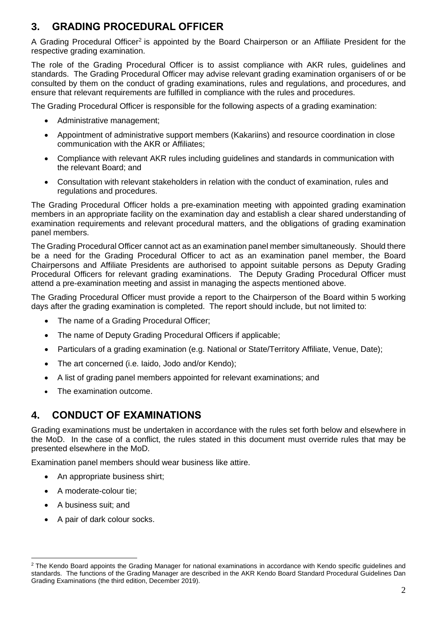## **3. GRADING PROCEDURAL OFFICER**

A Grading Procedural Officer<sup>2</sup> is appointed by the Board Chairperson or an Affiliate President for the respective grading examination.

The role of the Grading Procedural Officer is to assist compliance with AKR rules, guidelines and standards. The Grading Procedural Officer may advise relevant grading examination organisers of or be consulted by them on the conduct of grading examinations, rules and regulations, and procedures, and ensure that relevant requirements are fulfilled in compliance with the rules and procedures.

The Grading Procedural Officer is responsible for the following aspects of a grading examination:

- Administrative management;
- Appointment of administrative support members (Kakariins) and resource coordination in close communication with the AKR or Affiliates;
- Compliance with relevant AKR rules including guidelines and standards in communication with the relevant Board; and
- Consultation with relevant stakeholders in relation with the conduct of examination, rules and regulations and procedures.

The Grading Procedural Officer holds a pre-examination meeting with appointed grading examination members in an appropriate facility on the examination day and establish a clear shared understanding of examination requirements and relevant procedural matters, and the obligations of grading examination panel members.

The Grading Procedural Officer cannot act as an examination panel member simultaneously. Should there be a need for the Grading Procedural Officer to act as an examination panel member, the Board Chairpersons and Affiliate Presidents are authorised to appoint suitable persons as Deputy Grading Procedural Officers for relevant grading examinations. The Deputy Grading Procedural Officer must attend a pre-examination meeting and assist in managing the aspects mentioned above.

The Grading Procedural Officer must provide a report to the Chairperson of the Board within 5 working days after the grading examination is completed. The report should include, but not limited to:

- The name of a Grading Procedural Officer;
- The name of Deputy Grading Procedural Officers if applicable;
- Particulars of a grading examination (e.g. National or State/Territory Affiliate, Venue, Date);
- The art concerned (i.e. Iaido, Jodo and/or Kendo);
- A list of grading panel members appointed for relevant examinations; and
- The examination outcome.

## **4. CONDUCT OF EXAMINATIONS**

Grading examinations must be undertaken in accordance with the rules set forth below and elsewhere in the MoD. In the case of a conflict, the rules stated in this document must override rules that may be presented elsewhere in the MoD.

Examination panel members should wear business like attire.

- An appropriate business shirt;
- A moderate-colour tie;
- A business suit; and
- A pair of dark colour socks.

<sup>&</sup>lt;sup>2</sup> The Kendo Board appoints the Grading Manager for national examinations in accordance with Kendo specific guidelines and standards. The functions of the Grading Manager are described in the AKR Kendo Board Standard Procedural Guidelines Dan Grading Examinations (the third edition, December 2019).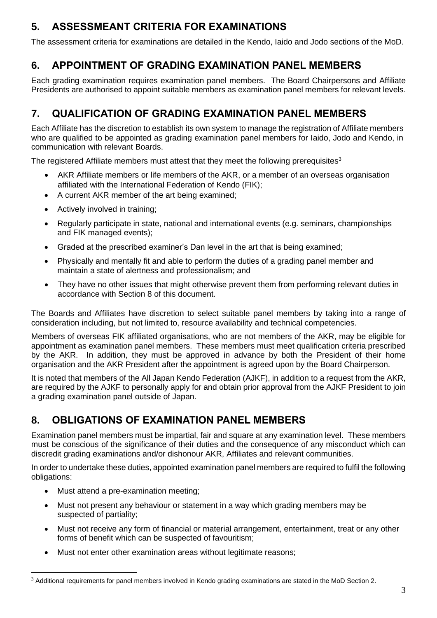## **5. ASSESSMEANT CRITERIA FOR EXAMINATIONS**

The assessment criteria for examinations are detailed in the Kendo, Iaido and Jodo sections of the MoD.

# **6. APPOINTMENT OF GRADING EXAMINATION PANEL MEMBERS**

Each grading examination requires examination panel members. The Board Chairpersons and Affiliate Presidents are authorised to appoint suitable members as examination panel members for relevant levels.

# **7. QUALIFICATION OF GRADING EXAMINATION PANEL MEMBERS**

Each Affiliate has the discretion to establish its own system to manage the registration of Affiliate members who are qualified to be appointed as grading examination panel members for Iaido, Jodo and Kendo, in communication with relevant Boards.

The registered Affiliate members must attest that they meet the following prerequisites<sup>3</sup>

- AKR Affiliate members or life members of the AKR, or a member of an overseas organisation affiliated with the International Federation of Kendo (FIK);
- A current AKR member of the art being examined;
- Actively involved in training;
- Regularly participate in state, national and international events (e.g. seminars, championships and FIK managed events);
- Graded at the prescribed examiner's Dan level in the art that is being examined;
- Physically and mentally fit and able to perform the duties of a grading panel member and maintain a state of alertness and professionalism; and
- They have no other issues that might otherwise prevent them from performing relevant duties in accordance with Section 8 of this document.

The Boards and Affiliates have discretion to select suitable panel members by taking into a range of consideration including, but not limited to, resource availability and technical competencies.

Members of overseas FIK affiliated organisations, who are not members of the AKR, may be eligible for appointment as examination panel members. These members must meet qualification criteria prescribed by the AKR. In addition, they must be approved in advance by both the President of their home organisation and the AKR President after the appointment is agreed upon by the Board Chairperson.

It is noted that members of the All Japan Kendo Federation (AJKF), in addition to a request from the AKR, are required by the AJKF to personally apply for and obtain prior approval from the AJKF President to join a grading examination panel outside of Japan.

# **8. OBLIGATIONS OF EXAMINATION PANEL MEMBERS**

Examination panel members must be impartial, fair and square at any examination level. These members must be conscious of the significance of their duties and the consequence of any misconduct which can discredit grading examinations and/or dishonour AKR, Affiliates and relevant communities.

In order to undertake these duties, appointed examination panel members are required to fulfil the following obligations:

- Must attend a pre-examination meeting;
- Must not present any behaviour or statement in a way which grading members may be suspected of partiality;
- Must not receive any form of financial or material arrangement, entertainment, treat or any other forms of benefit which can be suspected of favouritism;
- Must not enter other examination areas without legitimate reasons;

<sup>&</sup>lt;sup>3</sup> Additional requirements for panel members involved in Kendo grading examinations are stated in the MoD Section 2.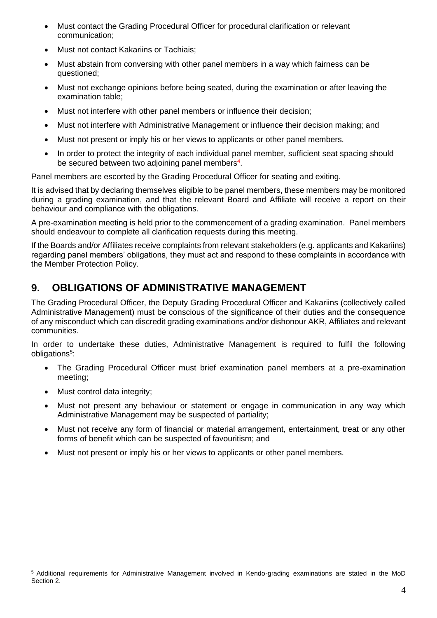- Must contact the Grading Procedural Officer for procedural clarification or relevant communication;
- Must not contact Kakariins or Tachiais;
- Must abstain from conversing with other panel members in a way which fairness can be questioned;
- Must not exchange opinions before being seated, during the examination or after leaving the examination table;
- Must not interfere with other panel members or influence their decision;
- Must not interfere with Administrative Management or influence their decision making; and
- Must not present or imply his or her views to applicants or other panel members.
- In order to protect the integrity of each individual panel member, sufficient seat spacing should be secured between two adjoining panel members<sup>4</sup>.

Panel members are escorted by the Grading Procedural Officer for seating and exiting.

It is advised that by declaring themselves eligible to be panel members, these members may be monitored during a grading examination, and that the relevant Board and Affiliate will receive a report on their behaviour and compliance with the obligations.

A pre-examination meeting is held prior to the commencement of a grading examination. Panel members should endeavour to complete all clarification requests during this meeting.

If the Boards and/or Affiliates receive complaints from relevant stakeholders (e.g. applicants and Kakariins) regarding panel members' obligations, they must act and respond to these complaints in accordance with the Member Protection Policy.

### **9. OBLIGATIONS OF ADMINISTRATIVE MANAGEMENT**

The Grading Procedural Officer, the Deputy Grading Procedural Officer and Kakariins (collectively called Administrative Management) must be conscious of the significance of their duties and the consequence of any misconduct which can discredit grading examinations and/or dishonour AKR, Affiliates and relevant communities.

In order to undertake these duties, Administrative Management is required to fulfil the following obligations<sup>5</sup>:

- The Grading Procedural Officer must brief examination panel members at a pre-examination meeting;
- Must control data integrity;
- Must not present any behaviour or statement or engage in communication in any way which Administrative Management may be suspected of partiality;
- Must not receive any form of financial or material arrangement, entertainment, treat or any other forms of benefit which can be suspected of favouritism; and
- Must not present or imply his or her views to applicants or other panel members.

<sup>5</sup> Additional requirements for Administrative Management involved in Kendo-grading examinations are stated in the MoD Section 2.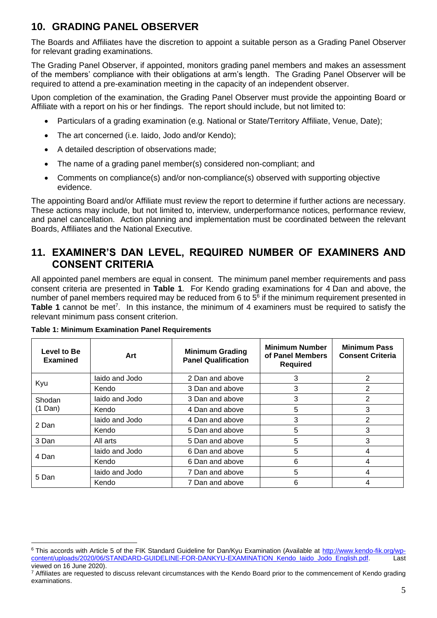# **10. GRADING PANEL OBSERVER**

The Boards and Affiliates have the discretion to appoint a suitable person as a Grading Panel Observer for relevant grading examinations.

The Grading Panel Observer, if appointed, monitors grading panel members and makes an assessment of the members' compliance with their obligations at arm's length. The Grading Panel Observer will be required to attend a pre-examination meeting in the capacity of an independent observer.

Upon completion of the examination, the Grading Panel Observer must provide the appointing Board or Affiliate with a report on his or her findings. The report should include, but not limited to:

- Particulars of a grading examination (e.g. National or State/Territory Affiliate, Venue, Date);
- The art concerned (i.e. Iaido, Jodo and/or Kendo);
- A detailed description of observations made;
- The name of a grading panel member(s) considered non-compliant; and
- Comments on compliance(s) and/or non-compliance(s) observed with supporting objective evidence.

The appointing Board and/or Affiliate must review the report to determine if further actions are necessary. These actions may include, but not limited to, interview, underperformance notices, performance review, and panel cancellation. Action planning and implementation must be coordinated between the relevant Boards, Affiliates and the National Executive.

#### **11. EXAMINER'S DAN LEVEL, REQUIRED NUMBER OF EXAMINERS AND CONSENT CRITERIA**

All appointed panel members are equal in consent. The minimum panel member requirements and pass consent criteria are presented in **[Table 1](#page-4-0)**. For Kendo grading examinations for 4 Dan and above, the number of panel members required may be reduced from 6 to  $5<sup>6</sup>$  if the minimum requirement presented in [Table 1](#page-4-0) cannot be met<sup>7</sup>. In this instance, the minimum of 4 examiners must be required to satisfy the relevant minimum pass consent criterion.

| Level to Be<br><b>Examined</b> | Art            | <b>Minimum Grading</b><br><b>Panel Qualification</b> | <b>Minimum Number</b><br>of Panel Members<br><b>Required</b> | <b>Minimum Pass</b><br><b>Consent Criteria</b> |
|--------------------------------|----------------|------------------------------------------------------|--------------------------------------------------------------|------------------------------------------------|
| Kyu                            | laido and Jodo | 2 Dan and above                                      | 3                                                            | 2                                              |
|                                | Kendo          | 3 Dan and above                                      | 3                                                            | 2                                              |
| Shodan<br>$(1$ Dan)            | laido and Jodo | 3 Dan and above                                      | 3                                                            | 2                                              |
|                                | Kendo          | 4 Dan and above                                      | 5                                                            | 3                                              |
| 2 Dan                          | laido and Jodo | 4 Dan and above                                      | 3                                                            | 2                                              |
|                                | Kendo          | 5 Dan and above                                      | 5                                                            | 3                                              |
| 3 Dan                          | All arts       | 5 Dan and above                                      | 5                                                            | 3                                              |
| 4 Dan                          | laido and Jodo | 6 Dan and above                                      | 5                                                            | 4                                              |
|                                | Kendo          | 6 Dan and above                                      | 6                                                            | 4                                              |
| 5 Dan                          | laido and Jodo | 7 Dan and above                                      | 5                                                            | 4                                              |
|                                | Kendo          | 7 Dan and above                                      | 6                                                            | 4                                              |

<span id="page-4-0"></span>

|  | <b>Table 1: Minimum Examination Panel Requirements</b> |  |
|--|--------------------------------------------------------|--|
|  |                                                        |  |

<sup>6</sup> This accords with Article 5 of the FIK Standard Guideline for Dan/Kyu Examination (Available at [http://www.kendo-fik.org/wp](http://www.kendo-fik.org/wp-content/uploads/2020/06/STANDARD-GUIDELINE-FOR-DANKYU-EXAMINATION_Kendo_Iaido_Jodo_English.pdf)[content/uploads/2020/06/STANDARD-GUIDELINE-FOR-DANKYU-EXAMINATION\\_Kendo\\_Iaido\\_Jodo\\_English.pdf.](http://www.kendo-fik.org/wp-content/uploads/2020/06/STANDARD-GUIDELINE-FOR-DANKYU-EXAMINATION_Kendo_Iaido_Jodo_English.pdf) Last viewed on 16 June 2020).

<sup>&</sup>lt;sup>7</sup> Affiliates are requested to discuss relevant circumstances with the Kendo Board prior to the commencement of Kendo grading examinations.